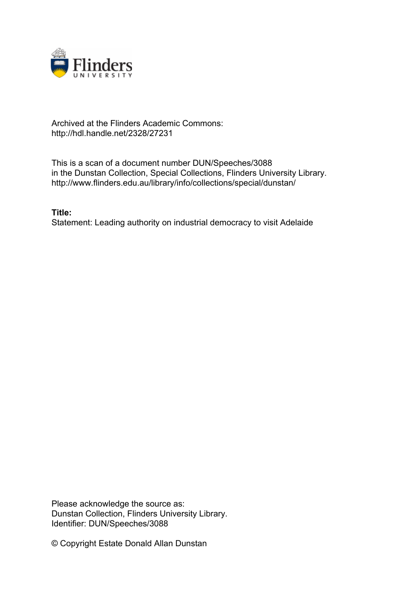

## Archived at the Flinders Academic Commons: http://hdl.handle.net/2328/27231

This is a scan of a document number DUN/Speeches/3088 in the Dunstan Collection, Special Collections, Flinders University Library. http://www.flinders.edu.au/library/info/collections/special/dunstan/

**Title:** Statement: Leading authority on industrial democracy to visit Adelaide

Please acknowledge the source as: Dunstan Collection, Flinders University Library. Identifier: DUN/Speeches/3088

© Copyright Estate Donald Allan Dunstan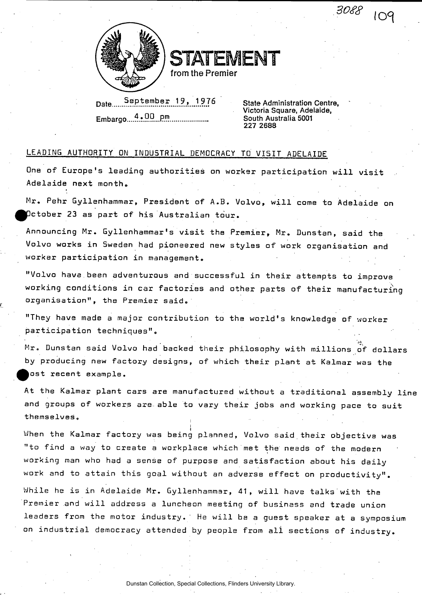3088 109



STATEMENT

**from the Premier** 

Date September 19, 1976 State Administration Centre. **Embargo <sup>4</sup> • 0C?...P.<sup>f</sup>**

**Victoria Square, Adelaide, 7! South Australia 5001 227 2688** 

## LEADING AUTHORITY ON INDUSTRIAL DEMOCRACY TO VISIT ADELAIDE

One of Europe's leading authorities on worker participation will visit Adelaide next month.

**M r . Peh r Gyllenhammar , Presiden t of A.B . Volvo , wil l come to Adelaid e on ^^Dctobe r 23 as part of his Australia n tour .** 

**Announcin g Mr . Gyllenhammar <sup>1</sup> s visit the Premier , Mr . Dunstan , said the Volv o work s in Sweden had pioneere d new style s of wor k organisatio n and worke r participatio n in management .** 

"Volvo have been adventurous and successful in their attempts to improve working conditions in car factories and other parts of their manufacturing **organisation" , the Premie r said .** 

"They have made a major contribution to the world's knowledge of worker **participatio n techniques" .** 

 $M$ r. Dunstan said Volvo had backed their philosophy with millions of dollars **by producing new factory designs, of which their plant at Kalmar was the ^os t recen t example .** 

At the Kalmar plant cars are manufactured without a traditional assembly line and groups of workers are able to vary their jobs and working pace to suit **themselves .** 

When the Kalmar factory was being planned, Volvo said their objective was "to find a way to create a workplace which met the needs of the modern **workin g man wh o had a sense of purpos e and satisfactio n about his daily**  work and to attain this goal without an adverse effect on productivity".

While he is in Adelaide Mr. Gyllenhammar, 41, will have talks with the **Premie r and wil l addres s a luncheo n meetin g of busines s and trad e union**  leaders from the motor industry. He will be a guest speaker at a symposium **on industria l democrac y attende d by peopl e from ali section s of industry .**